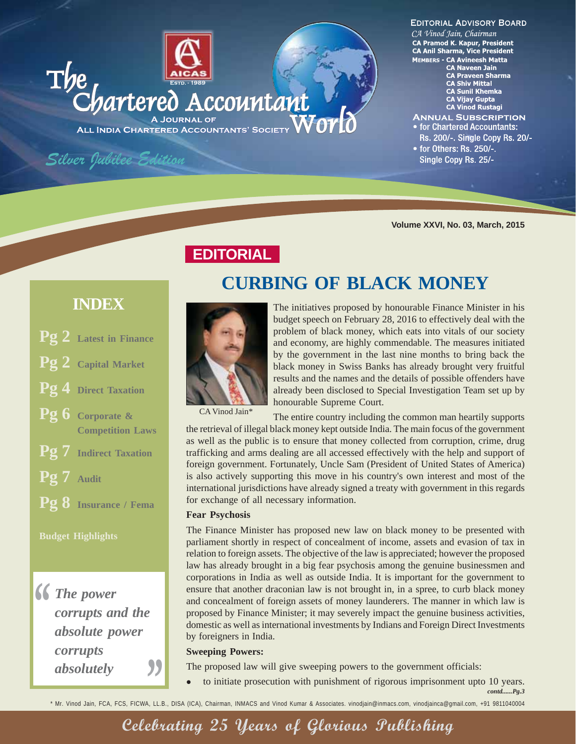

**EDITORIAL ADVISORY BOARD** CA Vinod Jain, Chairman **CA Pramod K. Kapur, President CA Anil Sharma, Vice President MEMBERS - CA Avineesh Matta CA Naveen Jain CA Praveen Sharma CA Shiv Mittal CA Sunil Khemka** CA Vijay Gupta **CA Vinod Rustagi** 

- **ANNUAL SUBSCRIPTION**
- for Chartered Accountants: Rs. 200/-. Single Copy Rs. 20/-
- . for Others: Rs. 250/-. Single Copy Rs. 25/-

**Volume XXVI, No. 03, March, 2015**

## **EDITORIAL**

### **INDEX**

- **Pg 2 Latest in Finance**
- **Pg 2 Capital Market**
- **Pg 4 Direct Taxation**
- **Pg 6 Corporate & Competition Laws**
- **Pg 7 Indirect Taxation**
- **Pg 7 Audit**
- **Pg 8 Insurance / Fema**

**Budget Highlights**



# **CURBING OF BLACK MONEY**



The initiatives proposed by honourable Finance Minister in his budget speech on February 28, 2016 to effectively deal with the problem of black money, which eats into vitals of our society and economy, are highly commendable. The measures initiated by the government in the last nine months to bring back the black money in Swiss Banks has already brought very fruitful results and the names and the details of possible offenders have already been disclosed to Special Investigation Team set up by honourable Supreme Court.

CA Vinod Jain\*

The entire country including the common man heartily supports the retrieval of illegal black money kept outside India. The main focus of the government as well as the public is to ensure that money collected from corruption, crime, drug trafficking and arms dealing are all accessed effectively with the help and support of foreign government. Fortunately, Uncle Sam (President of United States of America) is also actively supporting this move in his country's own interest and most of the international jurisdictions have already signed a treaty with government in this regards for exchange of all necessary information.

#### **Fear Psychosis**

The Finance Minister has proposed new law on black money to be presented with parliament shortly in respect of concealment of income, assets and evasion of tax in relation to foreign assets. The objective of the law is appreciated; however the proposed law has already brought in a big fear psychosis among the genuine businessmen and corporations in India as well as outside India. It is important for the government to ensure that another draconian law is not brought in, in a spree, to curb black money and concealment of foreign assets of money launderers. The manner in which law is proposed by Finance Minister; it may severely impact the genuine business activities, domestic as well as international investments by Indians and Foreign Direct Investments by foreigners in India.

#### **Sweeping Powers:**

The proposed law will give sweeping powers to the government officials:

*contd......Pg.3*  $\bullet$ to initiate prosecution with punishment of rigorous imprisonment upto 10 years.

**EXECUTE:**<br> **EXECUTE:**<br> **THE CONSTANT ON THE CONSTANT ON SECOND VERSELUS,** THE CONSTANT ON THE CONSTANT ON VERSELUS, CONTRANT ON VERSELUS, CONTRANT ON VERSELUS, PICWA, LL.B., DISA (ICA), Chairman, INMACS and Vinod Kumar &

# Celebrating 25 Years of Glorious Publishing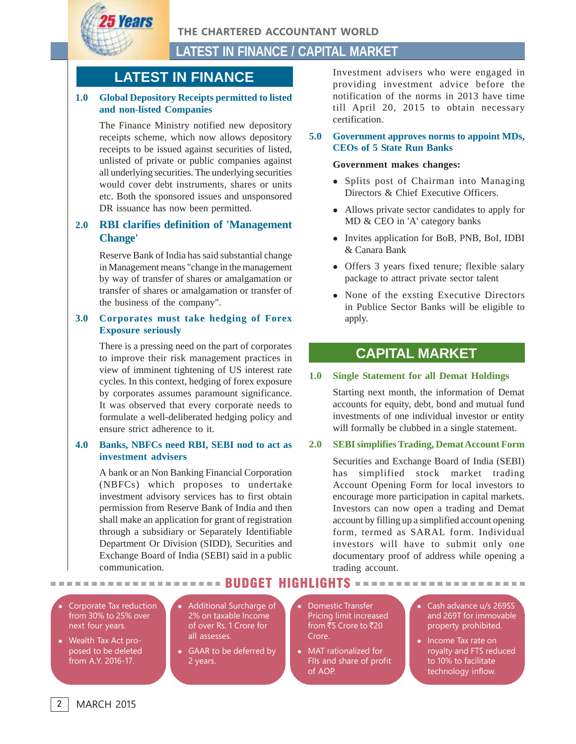THE CHARTERED ACCOUNTANT WORLD

### **LATEST IN FINANCE / CAPITAL MARKET**

### **LATEST IN FINANCE**

**25 Years** 

#### **1.0 Global Depository Receipts permitted to listed and non-listed Companies**

The Finance Ministry notified new depository receipts scheme, which now allows depository receipts to be issued against securities of listed, unlisted of private or public companies against all underlying securities. The underlying securities would cover debt instruments, shares or units etc. Both the sponsored issues and unsponsored DR issuance has now been permitted.

### **2.0 RBI clarifies definition of 'Management Change'**

Reserve Bank of India has said substantial change in Management means "change in the management by way of transfer of shares or amalgamation or transfer of shares or amalgamation or transfer of the business of the company".

#### **3.0 Corporates must take hedging of Forex Exposure seriously**

There is a pressing need on the part of corporates to improve their risk management practices in view of imminent tightening of US interest rate cycles. In this context, hedging of forex exposure by corporates assumes paramount significance. It was observed that every corporate needs to formulate a well-deliberated hedging policy and ensure strict adherence to it.

#### **4.0 Banks, NBFCs need RBI, SEBI nod to act as investment advisers**

A bank or an Non Banking Financial Corporation (NBFCs) which proposes to undertake investment advisory services has to first obtain permission from Reserve Bank of India and then shall make an application for grant of registration through a subsidiary or Separately Identifiable Department Or Division (SIDD), Securities and Exchange Board of India (SEBI) said in a public communication.

Investment advisers who were engaged in providing investment advice before the notification of the norms in 2013 have time till April 20, 2015 to obtain necessary certification.

#### **5.0 Government approves norms to appoint MDs, CEOs of 5 State Run Banks**

#### **Government makes changes:**

- Splits post of Chairman into Managing Directors & Chief Executive Officers.
- Allows private sector candidates to apply for MD & CEO in 'A' category banks
- Invites application for BoB, PNB, BoI, IDBI & Canara Bank
- Offers 3 years fixed tenure; flexible salary package to attract private sector talent
- None of the exsting Executive Directors in Publice Sector Banks will be eligible to apply.

### **CAPITAL MARKET**

#### **1.0 Single Statement for all Demat Holdings**

Starting next month, the information of Demat accounts for equity, debt, bond and mutual fund investments of one individual investor or entity will formally be clubbed in a single statement.

### **2.0 SEBI simplifies Trading, Demat Account Form**

Securities and Exchange Board of India (SEBI) has simplified stock market trading Account Opening Form for local investors to encourage more participation in capital markets. Investors can now open a trading and Demat account by filling up a simplified account opening form, termed as SARAL form. Individual investors will have to submit only one documentary proof of address while opening a trading account.

- $\bullet$  Corporate Tax reduction from 30% to 25% over next four years.
- Wealth Tax Act proposed to be deleted from A.Y. 2016-17.
- $\bullet$  Additional Surcharge of 2% on taxable Income of over Rs. 1 Crore for all assesses.
- $\bullet$  GAAR to be deferred by 2 years.
- $\bullet$  Domestic Transfer Pricing limit increased from ₹5 Crore to ₹20 Crore.

BUDGET HIGHLIGHTS

- MAT rationalized for FIIs and share of profit of AOP.
- $\bullet$  Cash advance u/s 269SS and 269T for immovable property prohibited.
- Income Tax rate on royalty and FTS reduced to 10% to facilitate technology inflow.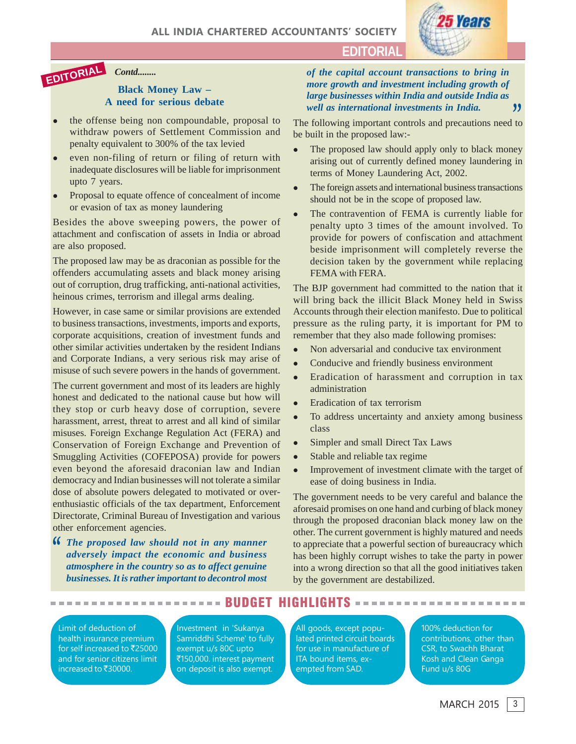

### **EDITORIAL** *Contd........*

#### **Black Money Law – A need for serious debate**

- $\bullet$  the offense being non compoundable, proposal to withdraw powers of Settlement Commission and penalty equivalent to 300% of the tax levied
- $\bullet$  even non-filing of return or filing of return with inadequate disclosures will be liable for imprisonment upto 7 years.
- $\bullet$  Proposal to equate offence of concealment of income or evasion of tax as money laundering

Besides the above sweeping powers, the power of attachment and confiscation of assets in India or abroad are also proposed.

The proposed law may be as draconian as possible for the offenders accumulating assets and black money arising out of corruption, drug trafficking, anti-national activities, heinous crimes, terrorism and illegal arms dealing.

However, in case same or similar provisions are extended to business transactions, investments, imports and exports, corporate acquisitions, creation of investment funds and other similar activities undertaken by the resident Indians and Corporate Indians, a very serious risk may arise of misuse of such severe powers in the hands of government.

The current government and most of its leaders are highly honest and dedicated to the national cause but how will they stop or curb heavy dose of corruption, severe harassment, arrest, threat to arrest and all kind of similar misuses. Foreign Exchange Regulation Act (FERA) and Conservation of Foreign Exchange and Prevention of Smuggling Activities (COFEPOSA) provide for powers even beyond the aforesaid draconian law and Indian democracy and Indian businesses will not tolerate a similar dose of absolute powers delegated to motivated or overenthusiastic officials of the tax department, Enforcement Directorate, Criminal Bureau of Investigation and various other enforcement agencies.

*The proposed law should not in any manner* **,,***adversely impact the economic and business atmosphere in the country so as to affect genuine businesses. It is rather important to decontrol most*

#### *of the capital account transactions to bring in more growth and investment including growth of large businesses within India and outside India as well as international investments in India.* **,,**

**EDITORIAL**

The following important controls and precautions need to be built in the proposed law:-

- $\bullet$  The proposed law should apply only to black money arising out of currently defined money laundering in terms of Money Laundering Act, 2002.
- $\bullet$  The foreign assets and international business transactions should not be in the scope of proposed law.
- $\bullet$  The contravention of FEMA is currently liable for penalty upto 3 times of the amount involved. To provide for powers of confiscation and attachment beside imprisonment will completely reverse the decision taken by the government while replacing FEMA with FERA.

The BJP government had committed to the nation that it will bring back the illicit Black Money held in Swiss Accounts through their election manifesto. Due to political pressure as the ruling party, it is important for PM to remember that they also made following promises:

- $\bullet$ Non adversarial and conducive tax environment
- $\bullet$ Conducive and friendly business environment
- $\bullet$  Eradication of harassment and corruption in tax administration
- $\bullet$ Eradication of tax terrorism
- $\bullet$  To address uncertainty and anxiety among business class
- $\bullet$ Simpler and small Direct Tax Laws
- $\bullet$ Stable and reliable tax regime
- $\bullet$  Improvement of investment climate with the target of ease of doing business in India.

The government needs to be very careful and balance the aforesaid promises on one hand and curbing of black money through the proposed draconian black money law on the other. The current government is highly matured and needs to appreciate that a powerful section of bureaucracy which has been highly corrupt wishes to take the party in power into a wrong direction so that all the good initiatives taken by the government are destabilized.

#### BUDGET HIGHLIGHTS

Limit of deduction of health insurance premium for self increased to ₹25000 and for senior citizens limit increased to ₹30000.

Investment in 'Sukanya Samriddhi Scheme' to fully exempt u/s 80C upto ₹150,000. interest payment on deposit is also exempt.

All goods, except populated printed circuit boards for use in manufacture of ITA bound items, exempted from SAD.

100% deduction for contributions, other than CSR, to Swachh Bharat Kosh and Clean Ganga Fund u/s 80G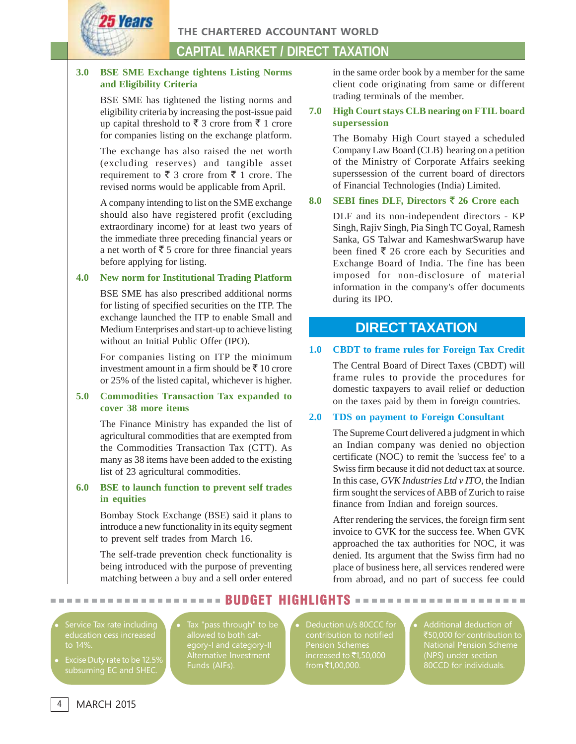THE CHARTERED ACCOUNTANT WORLD

### **CAPITAL MARKET / DIRECT TAXATION**

#### **3.0 BSE SME Exchange tightens Listing Norms and Eligibility Criteria**

**25 Vears** 

BSE SME has tightened the listing norms and eligibility criteria by increasing the post-issue paid up capital threshold to  $\bar{z}$  3 crore from  $\bar{z}$  1 crore for companies listing on the exchange platform.

The exchange has also raised the net worth (excluding reserves) and tangible asset requirement to  $\bar{\xi}$  3 crore from  $\bar{\xi}$  1 crore. The revised norms would be applicable from April.

A company intending to list on the SME exchange should also have registered profit (excluding extraordinary income) for at least two years of the immediate three preceding financial years or a net worth of  $\bar{\tau}$  5 crore for three financial years before applying for listing.

**4.0 New norm for Institutional Trading Platform**

BSE SME has also prescribed additional norms for listing of specified securities on the ITP. The exchange launched the ITP to enable Small and Medium Enterprises and start-up to achieve listing without an Initial Public Offer (IPO).

For companies listing on ITP the minimum investment amount in a firm should be  $\bar{z}$  10 crore or 25% of the listed capital, whichever is higher.

#### **5.0 Commodities Transaction Tax expanded to cover 38 more items**

The Finance Ministry has expanded the list of agricultural commodities that are exempted from the Commodities Transaction Tax (CTT). As many as 38 items have been added to the existing list of 23 agricultural commodities.

#### **6.0 BSE to launch function to prevent self trades in equities**

Bombay Stock Exchange (BSE) said it plans to introduce a new functionality in its equity segment to prevent self trades from March 16.

The self-trade prevention check functionality is being introduced with the purpose of preventing matching between a buy and a sell order entered

 $\bullet$ 

in the same order book by a member for the same client code originating from same or different trading terminals of the member.

#### **7.0 High Court stays CLB nearing on FTIL board supersession**

The Bomaby High Court stayed a scheduled Company Law Board (CLB) hearing on a petition of the Ministry of Corporate Affairs seeking superssession of the current board of directors of Financial Technologies (India) Limited.

#### **8.0 SEBI fines DLF, Directors** ` **26 Crore each**

DLF and its non-independent directors - KP Singh, Rajiv Singh, Pia Singh TC Goyal, Ramesh Sanka, GS Talwar and KameshwarSwarup have been fined  $\bar{\tau}$  26 crore each by Securities and Exchange Board of India. The fine has been imposed for non-disclosure of material information in the company's offer documents during its IPO.

### **DIRECT TAXATION**

#### **1.0 CBDT to frame rules for Foreign Tax Credit**

The Central Board of Direct Taxes (CBDT) will frame rules to provide the procedures for domestic taxpayers to avail relief or deduction on the taxes paid by them in foreign countries.

#### **2.0 TDS on payment to Foreign Consultant**

The Supreme Court delivered a judgment in which an Indian company was denied no objection certificate (NOC) to remit the 'success fee' to a Swiss firm because it did not deduct tax at source. In this case, *GVK Industries Ltd v ITO*, the Indian firm sought the services of ABB of Zurich to raise finance from Indian and foreign sources.

After rendering the services, the foreign firm sent invoice to GVK for the success fee. When GVK approached the tax authorities for NOC, it was denied. Its argument that the Swiss firm had no place of business here, all services rendered were from abroad, and no part of success fee could

- $\bullet$  Service Tax rate including education cess increased to 14%.
- $\bullet$ subsuming EC and SHEC

egory-I and category-II Alternative Investment

BUDGET HIGHLIGHTS

- $\bullet$  Deduction u/s 80CCC for contribution to notified Pension Schemes
- $\bullet$  Additional deduction of ₹50,000 for contribution to 80CCD for individuals.

### MARCH 2015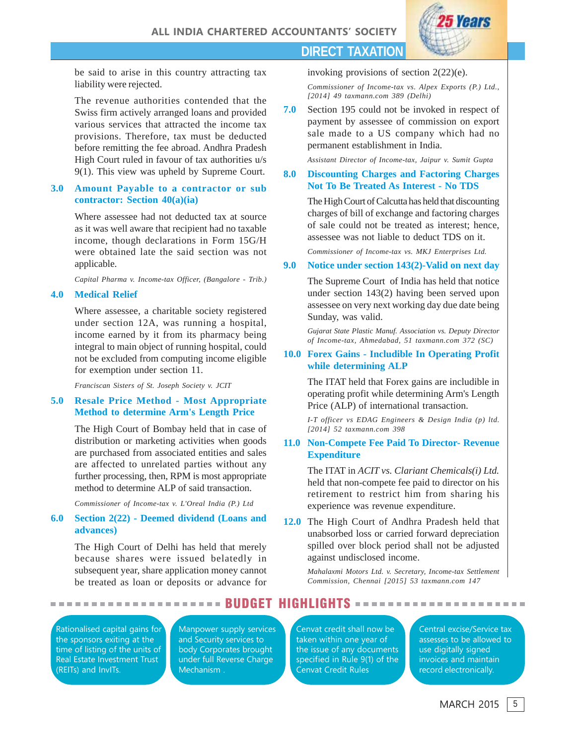

be said to arise in this country attracting tax liability were rejected.

The revenue authorities contended that the Swiss firm actively arranged loans and provided various services that attracted the income tax provisions. Therefore, tax must be deducted before remitting the fee abroad. Andhra Pradesh High Court ruled in favour of tax authorities u/s 9(1). This view was upheld by Supreme Court.

#### **3.0 Amount Payable to a contractor or sub contractor: Section 40(a)(ia)**

Where assessee had not deducted tax at source as it was well aware that recipient had no taxable income, though declarations in Form 15G/H were obtained late the said section was not applicable.

*Capital Pharma v. Income-tax Officer, (Bangalore - Trib.)*

#### **4.0 Medical Relief**

Where assessee, a charitable society registered under section 12A, was running a hospital, income earned by it from its pharmacy being integral to main object of running hospital, could not be excluded from computing income eligible for exemption under section 11.

*Franciscan Sisters of St. Joseph Society v. JCIT*

#### **5.0 Resale Price Method - Most Appropriate Method to determine Arm's Length Price**

The High Court of Bombay held that in case of distribution or marketing activities when goods are purchased from associated entities and sales are affected to unrelated parties without any further processing, then, RPM is most appropriate method to determine ALP of said transaction.

*Commissioner of Income-tax v. L'Oreal India (P.) Ltd*

#### **6.0 Section 2(22) - Deemed dividend (Loans and advances)**

The High Court of Delhi has held that merely because shares were issued belatedly in subsequent year, share application money cannot be treated as loan or deposits or advance for

#### invoking provisions of section 2(22)(e).

*Commissioner of Income-tax vs. Alpex Exports (P.) Ltd., [2014] 49 taxmann.com 389 (Delhi)*

**25 Vears** 

**7.0** Section 195 could not be invoked in respect of payment by assessee of commission on export sale made to a US company which had no permanent establishment in India.

*Assistant Director of Income-tax, Jaipur v. Sumit Gupta*

#### **8.0 Discounting Charges and Factoring Charges Not To Be Treated As Interest - No TDS**

The High Court of Calcutta has held that discounting charges of bill of exchange and factoring charges of sale could not be treated as interest; hence, assessee was not liable to deduct TDS on it.

*Commissioner of Income-tax vs. MKJ Enterprises Ltd.*

#### **9.0 Notice under section 143(2)-Valid on next day**

The Supreme Court of India has held that notice under section 143(2) having been served upon assessee on very next working day due date being Sunday, was valid.

*Gujarat State Plastic Manuf. Association vs. Deputy Director of Income-tax, Ahmedabad, 51 taxmann.com 372 (SC)*

#### **10.0 Forex Gains - Includible In Operating Profit while determining ALP**

The ITAT held that Forex gains are includible in operating profit while determining Arm's Length Price (ALP) of international transaction.

*I-T officer vs EDAG Engineers & Design India (p) ltd. [2014] 52 taxmann.com 398*

#### **11.0 Non-Compete Fee Paid To Director- Revenue Expenditure**

The ITAT in *ACIT vs. Clariant Chemicals(i) Ltd.* held that non-compete fee paid to director on his retirement to restrict him from sharing his experience was revenue expenditure.

**12.0** The High Court of Andhra Pradesh held that unabsorbed loss or carried forward depreciation spilled over block period shall not be adjusted against undisclosed income.

> *Mahalaxmi Motors Ltd. v. Secretary, Income-tax Settlement Commission, Chennai [2015] 53 taxmann.com 147*

Rationalised capital gains for the sponsors exiting at the time of listing of the units of Real Estate Investment Trust (REITs) and InvITs.

Manpower supply services and Security services to body Corporates brought under full Reverse Charge Mechanism .

-------------------- BUDGET HIGHLIGHTS ---------------------

Cenvat credit shall now be taken within one year of the issue of any documents specified in Rule 9(1) of the Cenvat Credit Rules

Central excise/Service tax assesses to be allowed to use digitally signed invoices and maintain record electronically.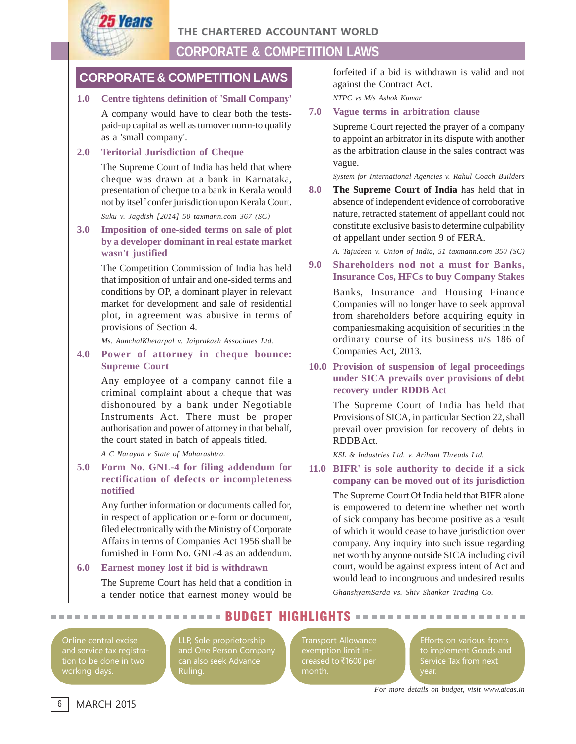THE CHARTERED ACCOUNTANT WORLD

### **CORPORATE & COMPETITION LAWS**

### **CORPORATE & COMPETITION LAWS**

#### **1.0 Centre tightens definition of 'Small Company'**

A company would have to clear both the testspaid-up capital as well as turnover norm-to qualify as a 'small company'.

#### **2.0 Teritorial Jurisdiction of Cheque**

*5 Years* 

The Supreme Court of India has held that where cheque was drawn at a bank in Karnataka, presentation of cheque to a bank in Kerala would not by itself confer jurisdiction upon Kerala Court.

*Suku v. Jagdish [2014] 50 taxmann.com 367 (SC)*

**3.0 Imposition of one-sided terms on sale of plot by a developer dominant in real estate market wasn't justified**

> The Competition Commission of India has held that imposition of unfair and one-sided terms and conditions by OP, a dominant player in relevant market for development and sale of residential plot, in agreement was abusive in terms of provisions of Section 4.

*Ms. AanchalKhetarpal v. Jaiprakash Associates Ltd.*

#### **4.0 Power of attorney in cheque bounce: Supreme Court**

Any employee of a company cannot file a criminal complaint about a cheque that was dishonoured by a bank under Negotiable Instruments Act. There must be proper authorisation and power of attorney in that behalf, the court stated in batch of appeals titled.

*A C Narayan v State of Maharashtra.*

#### **5.0 Form No. GNL-4 for filing addendum for rectification of defects or incompleteness notified**

Any further information or documents called for, in respect of application or e-form or document, filed electronically with the Ministry of Corporate Affairs in terms of Companies Act 1956 shall be furnished in Form No. GNL-4 as an addendum.

#### **6.0 Earnest money lost if bid is withdrawn**

The Supreme Court has held that a condition in a tender notice that earnest money would be forfeited if a bid is withdrawn is valid and not against the Contract Act.

*NTPC vs M/s Ashok Kumar*

#### **7.0 Vague terms in arbitration clause**

Supreme Court rejected the prayer of a company to appoint an arbitrator in its dispute with another as the arbitration clause in the sales contract was vague.

*System for International Agencies v. Rahul Coach Builders*

**8.0 The Supreme Court of India** has held that in absence of independent evidence of corroborative nature, retracted statement of appellant could not constitute exclusive basis to determine culpability of appellant under section 9 of FERA.

*A. Tajudeen v. Union of India, 51 taxmann.com 350 (SC)*

- **9.0 Shareholders nod not a must for Banks, Insurance Cos, HFCs to buy Company Stakes** Banks, Insurance and Housing Finance Companies will no longer have to seek approval from shareholders before acquiring equity in companiesmaking acquisition of securities in the ordinary course of its business u/s 186 of Companies Act, 2013.
- **10.0 Provision of suspension of legal proceedings under SICA prevails over provisions of debt recovery under RDDB Act**

The Supreme Court of India has held that Provisions of SICA, in particular Section 22, shall prevail over provision for recovery of debts in RDDB Act.

*KSL & Industries Ltd. v. Arihant Threads Ltd.*

**11.0 BIFR' is sole authority to decide if a sick company can be moved out of its jurisdiction**

> The Supreme Court Of India held that BIFR alone is empowered to determine whether net worth of sick company has become positive as a result of which it would cease to have jurisdiction over company. Any inquiry into such issue regarding net worth by anyone outside SICA including civil court, would be against express intent of Act and would lead to incongruous and undesired results *GhanshyamSarda vs. Shiv Shankar Trading Co.*

Online central excise and service tax registraworking days.

LLP, Sole proprietorship and One Person Company Transport Allowance creased to ₹1600 per

BUDGET HIGHLIGHTS

Efforts on various fronts Service Tax from next year.

*For more details on budget, visit www.aicas.in*

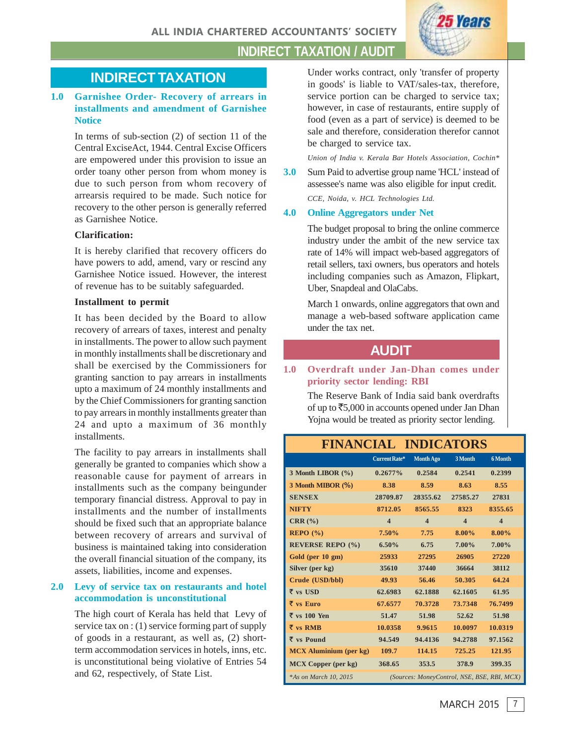### **INDIRECT TAXATION / AUDIT**



#### **1.0 Garnishee Order- Recovery of arrears in installments and amendment of Garnishee Notice**

In terms of sub-section (2) of section 11 of the Central ExciseAct, 1944. Central Excise Officers are empowered under this provision to issue an order toany other person from whom money is due to such person from whom recovery of arrearsis required to be made. Such notice for recovery to the other person is generally referred as Garnishee Notice.

#### **Clarification:**

It is hereby clarified that recovery officers do have powers to add, amend, vary or rescind any Garnishee Notice issued. However, the interest of revenue has to be suitably safeguarded.

#### **Installment to permit**

It has been decided by the Board to allow recovery of arrears of taxes, interest and penalty in installments. The power to allow such payment in monthly installments shall be discretionary and shall be exercised by the Commissioners for granting sanction to pay arrears in installments upto a maximum of 24 monthly installments and by the Chief Commissioners for granting sanction to pay arrears in monthly installments greater than 24 and upto a maximum of 36 monthly installments.

The facility to pay arrears in installments shall generally be granted to companies which show a reasonable cause for payment of arrears in installments such as the company beingunder temporary financial distress. Approval to pay in installments and the number of installments should be fixed such that an appropriate balance between recovery of arrears and survival of business is maintained taking into consideration the overall financial situation of the company, its assets, liabilities, income and expenses.

#### **2.0 Levy of service tax on restaurants and hotel accommodation is unconstitutional**

The high court of Kerala has held that Levy of service tax on : (1) service forming part of supply of goods in a restaurant, as well as, (2) shortterm accommodation services in hotels, inns, etc. is unconstitutional being violative of Entries 54 and 62, respectively, of State List.

**INDIRECT TAXATION** Under works contract, only 'transfer of property in goods' is liable to VAT/sales-tax, therefore, service portion can be charged to service tax; however, in case of restaurants, entire supply of food (even as a part of service) is deemed to be sale and therefore, consideration therefor cannot be charged to service tax.

*Union of India v. Kerala Bar Hotels Association, Cochin\**

**3.0** Sum Paid to advertise group name 'HCL' instead of assessee's name was also eligible for input credit.

*CCE, Noida, v. HCL Technologies Ltd.*

#### **4.0 Online Aggregators under Net**

The budget proposal to bring the online commerce industry under the ambit of the new service tax rate of 14% will impact web-based aggregators of retail sellers, taxi owners, bus operators and hotels including companies such as Amazon, Flipkart, Uber, Snapdeal and OlaCabs.

March 1 onwards, online aggregators that own and manage a web-based software application came under the tax net.

### **AUDIT**

#### **1.0 Overdraft under Jan-Dhan comes under priority sector lending: RBI**

The Reserve Bank of India said bank overdrafts of up to  $\bar{5}5,000$  in accounts opened under Jan Dhan Yojna would be treated as priority sector lending.

### **FINANCIAL INDICATORS**

|                               | Current Rate*                               | Month Ago        | 3 Month          | 6 Month          |
|-------------------------------|---------------------------------------------|------------------|------------------|------------------|
| 3 Month LIBOR (%)             | $0.2677\%$                                  | 0.2584           | 0.2541           | 0.2399           |
| 3 Month MIBOR (%)             | 8.38                                        | 8.59             | 8.63             | 8.55             |
| <b>SENSEX</b>                 | 28709.87                                    | 28355.62         | 27585.27         | 27831            |
| <b>NIFTY</b>                  | 8712.05                                     | 8565.55          | 8323             | 8355.65          |
| $CRR$ $%$                     | $\boldsymbol{4}$                            | $\boldsymbol{4}$ | $\boldsymbol{4}$ | $\boldsymbol{4}$ |
| REPO(%)                       | 7.50%                                       | 7.75             | 8.00%            | 8.00%            |
| <b>REVERSE REPO (%)</b>       | $6.50\%$                                    | 6.75             | 7.00%            | $7.00\%$         |
| Gold (per 10 gm)              | 25933                                       | 27295            | 26905            | 27220            |
| Silver (per kg)               | 35610                                       | 37440            | 36664            | 38112            |
| Crude (USD/bbl)               | 49.93                                       | 56.46            | 50.305           | 64.24            |
| $\overline{\tau}$ vs USD      | 62.6983                                     | 62.1888          | 62.1605          | 61.95            |
| $\bar{\tau}$ vs Euro          | 67.6577                                     | 70.3728          | 73.7348          | 76.7499          |
| $\overline{\tau}$ vs 100 Yen  | 51.47                                       | 51.98            | 52.62            | 51.98            |
| $\bar{\tau}$ vs RMB           | 10.0358                                     | 9.9615           | 10.0097          | 10.0319          |
| ₹ vs Pound                    | 94.549                                      | 94.4136          | 94.2788          | 97.1562          |
| <b>MCX</b> Aluminium (per kg) | 109.7                                       | 114.15           | 725.25           | 121.95           |
| <b>MCX Copper (per kg)</b>    | 368.65                                      | 353.5            | 378.9            | 399.35           |
| *As on March 10, 2015         | (Sources: MoneyControl, NSE, BSE, RBI, MCX) |                  |                  |                  |